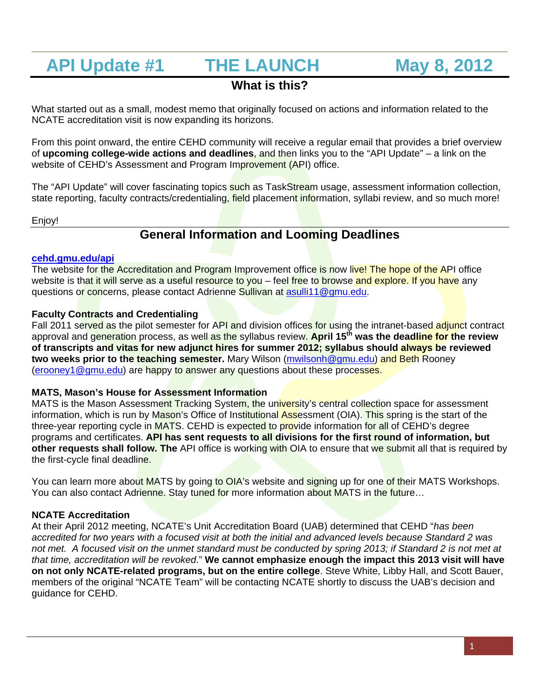# **API Update #1 THE LAUNCH May 8, 2012**

### **What is this?**

What started out as a small, modest memo that originally focused on actions and information related to the NCATE accreditation visit is now expanding its horizons.

From this point onward, the entire CEHD community will receive a regular email that provides a brief overview of **upcoming college-wide actions and deadlines**, and then links you to the "API Update" – a link on the website of CEHD's Assessment and Program Improvement (API) office.

The "API Update" will cover fascinating topics such as TaskStream usage, assessment information collection, state reporting, faculty contracts/credentialing, field placement information, syllabi review, and so much more!

Enjoy!

## **General Information and Looming Deadlines**

#### **cehd.gmu.edu/api**

The website for the Accreditation and Program Improvement office is now live! The hope of the API office website is that it will serve as a useful resource to you – feel free to browse and explore. If you have any questions or concerns, please contact Adrienne Sullivan at asulli11@gmu.edu.

#### **Faculty Contracts and Credentialing**

Fall 2011 served as the pilot semester for API and division offices for using the intranet-based adjunct contract approval and generation process, as well as the syllabus review. **April 15th was the deadline for the review of transcripts and vitas for new adjunct hires for summer 2012; syllabus should always be reviewed two weeks prior to the teaching semester.** Mary Wilson (mwilsonh@gmu.edu) and Beth Rooney (erooney1@gmu.edu) are happy to answer any questions about these processes.

#### **MATS, Mason's House for Assessment Information**

MATS is the Mason Assessment Tracking System, the university's central collection space for assessment information, which is run by Mason's Office of Institutional Assessment (OIA). This spring is the start of the three-year reporting cycle in MATS. CEHD is expected to provide information for all of CEHD's degree programs and certificates. **API has sent requests to all divisions for the first round of information, but other requests shall follow. The** API office is working with OIA to ensure that we submit all that is required by the first-cycle final deadline.

You can learn more about MATS by going to OIA's website and signing up for one of their MATS Workshops. You can also contact Adrienne. Stay tuned for more information about MATS in the future...

#### **NCATE Accreditation**

At their April 2012 meeting, NCATE's Unit Accreditation Board (UAB) determined that CEHD "*has been accredited for two years with a focused visit at both the initial and advanced levels because Standard 2 was*  not met. A focused visit on the unmet standard must be conducted by spring 2013; if Standard 2 is not met at *that time, accreditation will be revoked*." **We cannot emphasize enough the impact this 2013 visit will have on not only NCATE-related programs, but on the entire college**. Steve White, Libby Hall, and Scott Bauer, members of the original "NCATE Team" will be contacting NCATE shortly to discuss the UAB's decision and guidance for CEHD.